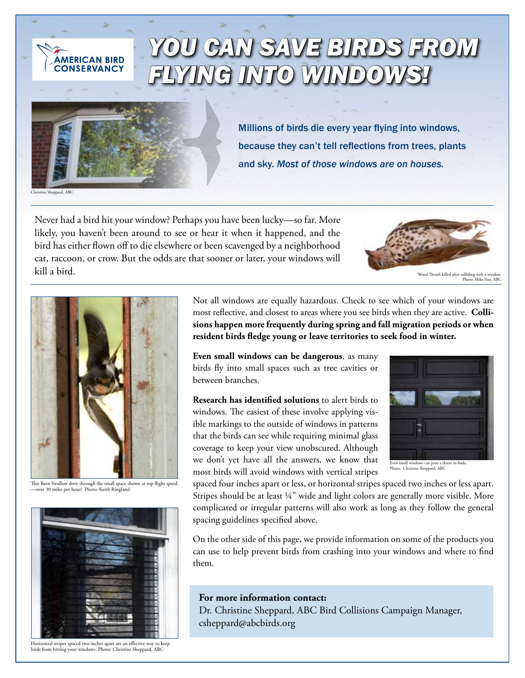

## *You Can Save Birds from Flying into Windows!*



Millions of birds die every year flying into windows, because they can't tell reflections from trees, plants and sky. *Most of those windows are on houses.*

Christine Sheppard, ABC

Never had a bird hit your window? Perhaps you have been lucky—so far. More likely, you haven't been around to see or hear it when it happened, and the bird has either flown off to die elsewhere or been scavenged by a neighborhood cat, raccoon, or crow. But the odds are that sooner or later, your windows will kill a bird.



Wood Thrush killed after colliding with a window. Photo: Mike Parr, ABC



This Barn Swallow dove through the small space shown at top flight speed —over 30 miles per hour! Photo: Keith Ringland



Horizontal stripes spaced two inches apart are an effective way to keep birds from hitting your windows. Photo: Christine Sheppard, ABC

Not all windows are equally hazardous. Check to see which of your windows are most reflective, and closest to areas where you see birds when they are active. **Collisions happen more frequently during spring and fall migration periods or when resident birds fledge young or leave territories to seek food in winter.** 

**Even small windows can be dangerous**, as many birds fly into small spaces such as tree cavities or between branches.

**Research has identified solutions** to alert birds to windows. The easiest of these involve applying visible markings to the outside of windows in patterns that the birds can see while requiring minimal glass coverage to keep your view unobscured. Although we don't yet have all the answers, we know that most birds will avoid windows with vertical stripes



Even small windows can pose a threat to birds. Photo: Christine Sheppard, ABC

spaced four inches apart or less, or horizontal stripes spaced two inches or less apart. Stripes should be at least ¼" wide and light colors are generally more visible. More complicated or irregular patterns will also work as long as they follow the general spacing guidelines specified above.

On the other side of this page, we provide information on some of the products you can use to help prevent birds from crashing into your windows and where to find them.

## **For more information contact:**

Dr. Christine Sheppard, ABC Bird Collisions Campaign Manager, csheppard@abcbirds.org